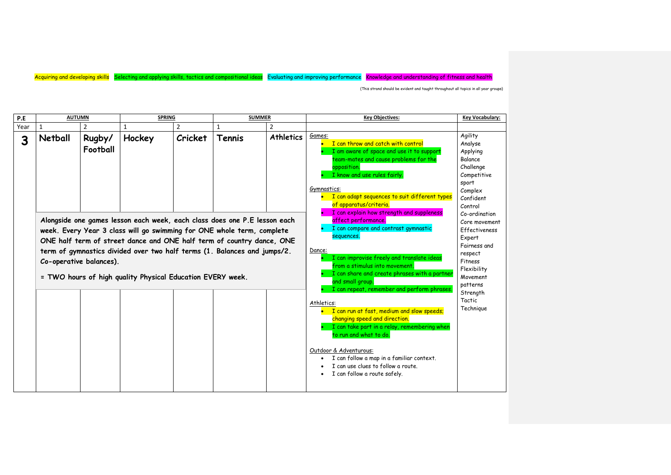| P.E  | <b>AUTUMN</b>                                                                                                                                                                                                                                                                                                                                                                                     |                    | <b>SPRING</b> |         | <b>SUMMER</b> |                                                                                                                                                                                                                                                                                         | <b>Key Objectives:</b>                                                                                                                                                                                                                                                                                                   | Key Vocabulary:                                                                                                          |
|------|---------------------------------------------------------------------------------------------------------------------------------------------------------------------------------------------------------------------------------------------------------------------------------------------------------------------------------------------------------------------------------------------------|--------------------|---------------|---------|---------------|-----------------------------------------------------------------------------------------------------------------------------------------------------------------------------------------------------------------------------------------------------------------------------------------|--------------------------------------------------------------------------------------------------------------------------------------------------------------------------------------------------------------------------------------------------------------------------------------------------------------------------|--------------------------------------------------------------------------------------------------------------------------|
| Year | -1                                                                                                                                                                                                                                                                                                                                                                                                |                    |               |         | 1             | 2                                                                                                                                                                                                                                                                                       |                                                                                                                                                                                                                                                                                                                          |                                                                                                                          |
| 3    | Netball                                                                                                                                                                                                                                                                                                                                                                                           | Rugby/<br>Football | Hockey        | Cricket | Tennis        | <b>Athletics</b>                                                                                                                                                                                                                                                                        | Games:<br>I can throw and catch with control<br>I am aware of space and use it to support<br>team-mates and cause problems for the<br>opposition.<br>I know and use rules fairly.<br>Gymnastics:<br>I can adapt sequences to suit different types<br>of apparatus/criteria.<br>I can explain how strength and suppleness | Agility<br>Analyse<br>Applying<br><b>Balance</b><br>Challenge<br>Competitive<br>sport<br>Complex<br>Confident<br>Control |
|      | Alongside one games lesson each week, each class does one P.E lesson each<br>week. Every Year 3 class will go swimming for ONE whole term, complete<br>ONE half term of street dance and ONE half term of country dance, ONE<br>term of gymnastics divided over two half terms (1. Balances and jumps/2.<br>Co-operative balances).<br>= TWO hours of high quality Physical Education EVERY week. |                    |               |         |               | affect performance.<br>I can compare and contrast gymnastic<br>sequences.<br>Dance:<br>I can improvise freely and translate ideas<br>from a stimulus into movement.<br>I can share and create phrases with a partner<br>and small group.<br>I can repeat, remember and perform phrases. | Co-ordination<br>Core movement<br>Effectiveness<br>Expert<br>Fairness and<br>respect<br>Fitness<br>Flexibility<br>Movement<br>patterns<br>Strength                                                                                                                                                                       |                                                                                                                          |
|      |                                                                                                                                                                                                                                                                                                                                                                                                   |                    |               |         |               |                                                                                                                                                                                                                                                                                         | Athletics:<br>I can run at fast, medium and slow speeds;<br>changing speed and direction.<br>I can take part in a relay, remembering when<br>to run and what to do.<br>Outdoor & Adventurous:<br>I can follow a map in a familiar context.<br>I can use clues to follow a route.<br>I can follow a route safely.         | Tactic<br>Technique                                                                                                      |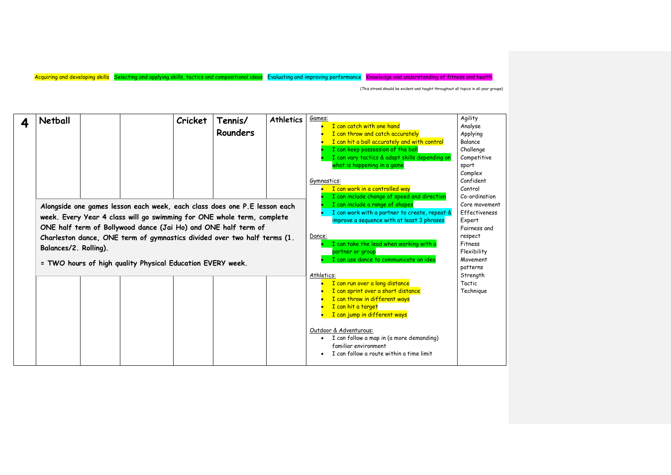| 4 | Netball                                                                                                                                                                                                                                                                                                                                                                                  |  | Cricket | Tennis/<br>Rounders | <b>Athletics</b> | Games:<br>I can catch with one hand<br>I can throw and catch accurately<br>I can hit a ball accurately and with control<br>I can keep possession of the ball<br>I can vary tactics & adapt skills depending on<br>what is happening in a game<br>Gymnastics:<br>I can work in a controlled way<br>I can include change of speed and direction | Agility<br>Analyse<br>Applying<br>Balance<br>Challenge<br>Competitive<br>sport<br>Complex<br>Confident<br>Control                      |
|---|------------------------------------------------------------------------------------------------------------------------------------------------------------------------------------------------------------------------------------------------------------------------------------------------------------------------------------------------------------------------------------------|--|---------|---------------------|------------------|-----------------------------------------------------------------------------------------------------------------------------------------------------------------------------------------------------------------------------------------------------------------------------------------------------------------------------------------------|----------------------------------------------------------------------------------------------------------------------------------------|
|   | Alongside one games lesson each week, each class does one P.E lesson each<br>week. Every Year 4 class will go swimming for ONE whole term, complete<br>ONE half term of Bollywood dance (Jai Ho) and ONE half term of<br>Charleston dance, ONE term of gymnastics divided over two half terms (1.<br>Balances/2. Rolling).<br>= TWO hours of high quality Physical Education EVERY week. |  |         |                     |                  | I can include a range of shapes<br>I can work with a partner to create, repeat &<br>improve a sequence with at least 3 phrases<br>Dance:<br>I can take the lead when working with a<br>partner or group<br>I can use dance to communicate an idea                                                                                             | Co-ordination<br>Core movement<br>Effectiveness<br>Expert<br>Fairness and<br>respect<br>Fitness<br>Flexibility<br>Movement<br>patterns |
|   |                                                                                                                                                                                                                                                                                                                                                                                          |  |         |                     |                  | Athletics:<br>I can run over a long distance<br>I can sprint over a short distance<br>I can throw in different ways<br>I can hit a target<br>I can jump in different ways<br>Outdoor & Adventurous:<br>I can follow a map in (a more demanding)<br>familiar environment<br>I can follow a route within a time limit                           | Strength<br>Tactic<br>Technique                                                                                                        |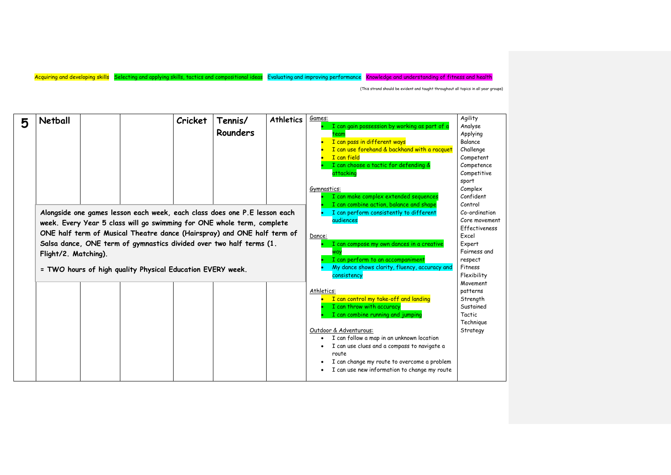| 5 | <b>Netball</b>       | Cricket                                                                                                                                                                                                                                                                                                                                                             | Tennis/<br><b>Rounders</b> | <b>Athletics</b>                                                                                                                                                                                                       | Games:<br>I can gain possession by working as part of a<br>team<br>I can pass in different ways<br>I can use forehand & backhand with a racquet<br>I can field<br>I can choose a tactic for defending &<br>attacking<br>Gymnastics:<br>I can make complex extended sequences<br>I can combine action, balance and shape                             | Agility<br>Analyse<br>Applying<br>Balance<br>Challenge<br>Competent<br>Competence<br>Competitive<br>sport<br>Complex<br>Confident<br>Control |
|---|----------------------|---------------------------------------------------------------------------------------------------------------------------------------------------------------------------------------------------------------------------------------------------------------------------------------------------------------------------------------------------------------------|----------------------------|------------------------------------------------------------------------------------------------------------------------------------------------------------------------------------------------------------------------|-----------------------------------------------------------------------------------------------------------------------------------------------------------------------------------------------------------------------------------------------------------------------------------------------------------------------------------------------------|----------------------------------------------------------------------------------------------------------------------------------------------|
|   | Flight/2. Matching). | Alongside one games lesson each week, each class does one P.E lesson each<br>week. Every Year 5 class will go swimming for ONE whole term, complete<br>ONE half term of Musical Theatre dance (Hairspray) and ONE half term of<br>Salsa dance, ONE term of gymnastics divided over two half terms (1.<br>= TWO hours of high quality Physical Education EVERY week. |                            | I can perform consistently to different<br>audiences<br>Dance:<br>I can compose my own dances in a creative<br>٧a<br>I can perform to an accompaniment<br>My dance shows clarity, fluency, accuracy and<br>consistency | Co-ordination<br>Core movement<br>Effectiveness<br>Excel<br>Expert<br>Fairness and<br>respect<br>Fitness<br>Flexibility                                                                                                                                                                                                                             |                                                                                                                                              |
|   |                      |                                                                                                                                                                                                                                                                                                                                                                     |                            |                                                                                                                                                                                                                        | Athletics:<br>I can control my take-off and landing<br>I can throw with accuracy<br>I can combine running and jumping<br>Outdoor & Adventurous:<br>I can follow a map in an unknown location<br>I can use clues and a compass to navigate a<br>route<br>I can change my route to overcome a problem<br>I can use new information to change my route | Movement<br>patterns<br>Strength<br>Sustained<br>Tactic<br>Technique<br>Strategy                                                             |